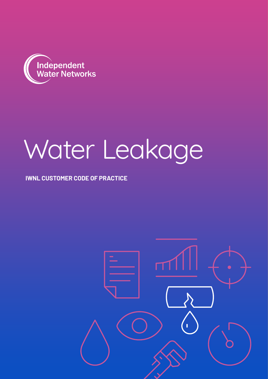

# Water Leakage

### **IWNL CUSTOMER CODE OF PRACTICE**

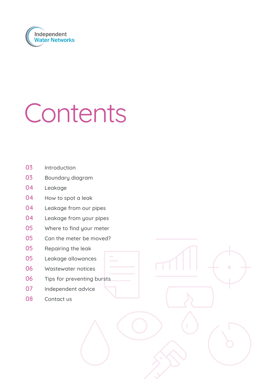

## Contents

- Introduction
- 03 Boundary diagram
- Leakage
- How to spot a leak
- 04 Leakage from our pipes
- Leakage from your pipes
- Where to find your meter
- Can the meter be moved?
- Repairing the leak
- Leakage allowances
- Wastewater notices
- 06 Tips for preventing bursts
- Independent advice
- Contact us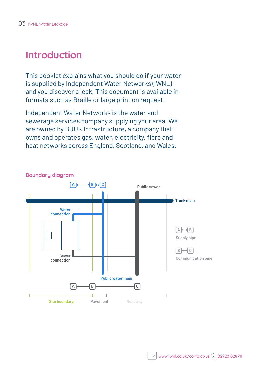## **Introduction**

This booklet explains what you should do if your water is supplied by Independent Water Networks (IWNL) and you discover a leak. This document is available in formats such as Braille or large print on request.

Independent Water Networks is the water and sewerage services company supplying your area. We are owned by BUUK Infrastructure, a company that owns and operates gas, water, electricity, fibre and heat networks across England, Scotland, and Wales.

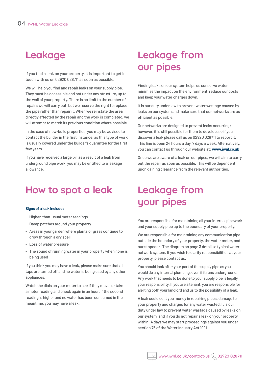## **Leakage**

If you find a leak on your property, it is important to get in touch with us on 02920 028711 as soon as possible.

We will help you find and repair leaks on your supply pipe. They must be accessible and not under any structure, up to the wall of your property. There is no limit to the number of repairs we will carry out, but we reserve the right to replace the pipe rather than repair it. When we reinstate the area directly affected by the repair and the work is completed, we will attempt to match its previous condition where possible.

In the case of new-build properties, you may be advised to contact the builder in the first instance, as this type of work is usually covered under the builder's guarantee for the first few years.

If you have received a large bill as a result of a leak from underground pipe work, you may be entitled to a leakage allowance.

## **How to spot a leak**

#### **Signs of a leak include:**

- Higher-than-usual meter readings
- Damp patches around your property
- Areas in your garden where plants or grass continue to grow through a dry spell
- Loss of water pressure
- The sound of running water in your property when none is being used

If you think you may have a leak, please make sure that all taps are turned off and no water is being used by any other appliances.

Watch the dials on your meter to see if they move, or take a meter reading and check again in an hour. If the second reading is higher and no water has been consumed in the meantime, you may have a leak.

## **Leakage from our pipes**

Finding leaks on our system helps us conserve water, minimise the impact on the environment, reduce our costs and keep your water charges down.

It is our duty under law to prevent water wastage caused by leaks on our system and make sure that our networks are as efficient as possible.

Our networks are designed to prevent leaks occurring; however, it is still possible for them to develop, so if you discover a leak please call us on 02920 028711 to report it. This line is open 24 hours a day, 7 days a week. Alternatively, you can contact us through our website at: **www.iwnl.co.uk**

Once we are aware of a leak on our pipes, we will aim to carry out the repair as soon as possible. This will be dependent upon gaining clearance from the relevant authorities.

## **Leakage from your pipes**

You are responsible for maintaining all your internal pipework and your supply pipe up to the boundary of your property.

We are responsible for maintaining any communication pipe outside the boundary of your property, the water meter, and our stopcock. The diagram on page 3 details a typical water network system. If you wish to clarify responsibilities at your property, please contact us.

You should look after your part of the supply pipe as you would do any internal plumbing, even if it runs underground. Any work that needs to be done to your supply pipe is legally your responsibility. If you are a tenant, you are responsible for alerting both your landlord and us to the possibility of a leak.

A leak could cost you money in repairing pipes, damage to your property and charges for any water wasted. It is our duty under law to prevent water wastage caused by leaks on our system, and if you do not repair a leak on your property within 14 days we may start proceedings against you under section 75 of the Water Industry Act 1991.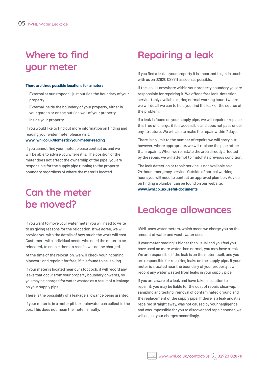## **Where to find your meter**

#### **There are three possible locations for a meter:**

- External at our stopcock just outside the boundary of your property
- External inside the boundary of your property, either in your garden or on the outside wall of your property
- Inside your property

If you would like to find out more information on finding and reading your water meter please visit:

#### **www.iwnl.co.uk/domestic/your-meter-reading**

If you cannot find your meter, please contact us and we will be able to advise you where it is. The position of the meter does not affect the ownership of the pipe; you are responsible for the supply pipe running to the property boundary regardless of where the meter is located.

## **Can the meter be moved?**

If you want to move your water meter you will need to write to us giving reasons for the relocation. If we agree, we will provide you with the details of how much the work will cost. Customers with individual needs who need the meter to be relocated, to enable them to read it, will not be charged.

At the time of the relocation, we will check your incoming pipework and repair it for free, if it is found to be leaking.

If your meter is located near our stopcock, it will record any leaks that occur from your property boundary onwards, so you may be charged for water wasted as a result of a leakage on your supply pipe.

There is the possibility of a leakage allowance being granted.

If your meter is in a meter pit box, rainwater can collect in the box. This does not mean the meter is faulty.

## **Repairing a leak**

If you find a leak in your property it is important to get in touch with us on 02920 028711 as soon as possible.

If the leak is anywhere within your property boundary you are responsible for repairing it. We offer a free leak-detection service (only available during normal working hours) where we will do all we can to help you find the leak or the source of the problem.

If a leak is found on your supply pipe, we will repair or replace this free of charge, if it is accessible and does not pass under any structure. We will aim to make the repair within 7 days.

There is no limit to the number of repairs we will carry out; however, where appropriate, we will replace the pipe rather than repair it. When we reinstate the area directly affected by the repair, we will attempt to match its previous condition.

The leak detection or repair service is not available as a 24-hour emergency service. Outside of normal working hours you will need to contact an approved plumber. Advice on finding a plumber can be found on our website: **www.iwnl.co.uk/useful-documents**

## **Leakage allowances**

IWNL uses water meters, which mean we charge you on the amount of water and wastewater used.

If your meter reading is higher than usual and you feel you have used no more water than normal, you may have a leak. We are responsible if the leak is on the meter itself, and you are responsible for repairing leaks on the supply pipe. If your meter is situated near the boundary of your property it will record any water wasted from leaks in your supply pipe.

If you are aware of a leak and have taken no action to repair it, you may be liable for the cost of repair, clean-up, sampling and testing, removal of contaminated ground and the replacement of the supply pipe. If there is a leak and it is repaired straight away, was not caused by your negligence, and was impossible for you to discover and repair sooner, we will adjust your charges accordingly.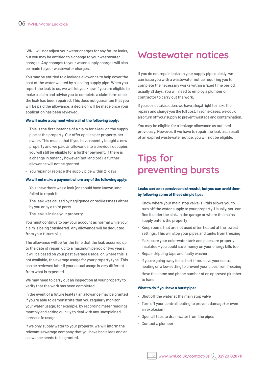IWNL will not adjust your water charges for any future leaks, but you may be entitled to a change to your wastewater charges. Any changes to your water supply charges will also be made to your wastewater charges.

You may be entitled to a leakage allowance to help cover the cost of the water wasted by a leaking supply pipe. When you report the leak to us, we will let you know if you are eligible to make a claim and advise you to complete a claim form once the leak has been repaired. This does not guarantee that you will be paid the allowance; a decision will be made once your application has been reviewed.

#### **We will make a payment where all of the following apply:**

- This is the first instance of a claim for a leak on the supply pipe at the property. Our offer applies per property, per owner. This means that if you have recently bought a new property and we paid an allowance to a previous occupier, you will still be eligible for a further payment. If there is a change in tenancy however (not landlord), a further allowance will not be granted
- You repair or replace the supply pipe within 21 days

#### **We will not make a payment where any of the following apply:**

- You knew there was a leak (or should have known) and failed to repair it
- The leak was caused by negligence or recklessness either by you or by a third party
- The leak is inside your property

You must continue to pay your account as normal while your claim is being considered. Any allowance will be deducted from your future bills.

The allowance will be for the time that the leak occurred up to the date of repair, up to a maximum period of two years. It will be based on your past average usage, or, where this is not available, the average usage for your property type. This can be reviewed later if your actual usage is very different from what is expected.

We may need to carry out an inspection at your property to verify that the work has been completed.

In the event of a future leak(s), an allowance may be granted if you're able to demonstrate that you regularly monitor your water usage; for example, by recording meter readings monthly and acting quickly to deal with any unexplained increase in usage.

If we only supply water to your property, we will inform the relevant sewerage company that you have had a leak and an allowance needs to be granted.

### **Wastewater notices**

If you do not repair leaks on your supply pipe quickly, we can issue you with a wastewater notice requiring you to complete the necessary works within a fixed time period, usually 21 days. You will need to employ a plumber or contractor to carry out the work.

If you do not take action, we have a legal right to make the repairs and charge you the full cost. In some cases, we could also turn off your supply to prevent wastage and contamination.

You may be eligible for a leakage allowance as outlined previously. However, if we have to repair the leak as a result of an expired wastewater notice, you will not be eligible.

## **Tips for preventing bursts**

#### **Leaks can be expensive and stressful, but you can avoid them by following some of these simple tips:**

- Know where your main stop valve is this allows you to turn off the water supply to your property. Usually, you can find it under the sink, in the garage or where the mains supply enters the property
- Keep rooms that are not used often heated at the lowest settings. This will stop your pipes and tanks from freezing
- Make sure your cold-water tank and pipes are properly insulated - you could save money on your energy bills too
- Repair dripping taps and faulty washers
- If you're going away for a short time, leave your central heating on a low setting to prevent your pipes from freezing
- Have the name and phone number of an approved plumber to hand

#### **What to do if you have a burst pipe:**

- Shut off the water at the main stop valve
- Turn off your central heating to prevent damage (or even an explosion)
- Open all taps to drain water from the pipes
- Contact a plumber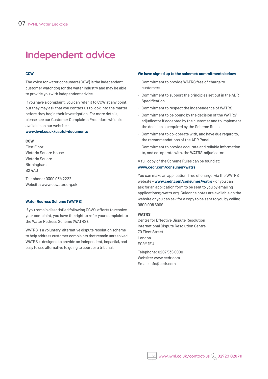## **Independent advice**

#### **CCW**

The voice for water consumers (CCW) is the independent customer watchdog for the water industry and may be able to provide you with independent advice.

If you have a complaint, you can refer it to CCW at any point, but they may ask that you contact us to look into the matter before they begin their investigation. For more details, please see our Customer Complaints Procedure which is available on our website -

#### **www.iwnl.co.uk/useful-documents**

#### **CCW**

First Floor Victoria Square House Victoria Square Birmingham B2 4AJ

Telephone: 0300 034 2222 Website: www.ccwater.org.uk

#### **Water Redress Scheme (WATRS)**

If you remain dissatisfied following CCW's efforts to resolve your complaint, you have the right to refer your complaint to the Water Redress Scheme (WATRS).

WATRS is a voluntary, alternative dispute resolution scheme to help address customer complaints that remain unresolved. WATRS is designed to provide an independent, impartial, and easy to use alternative to going to court or a tribunal.

#### **We have signed up to the scheme's commitments below:**

- Commitment to provide WATRS free of charge to customers
- Commitment to support the principles set out in the ADR Specification
- Commitment to respect the independence of WATRS
- Commitment to be bound by the decision of the WATRS' adjudicator if accepted by the customer and to implement the decision as required by the Scheme Rules
- Commitment to co-operate with, and have due regard to, the recommendations of the ADR Panel
- Commitment to provide accurate and reliable information to, and co-operate with, the WATRS' adjudicators

A full copy of the Scheme Rules can be found at: **www.cedr.com/consumer/watrs**

You can make an application, free of charge, via the WATRS website - **www.cedr.com/consumer/watrs** - or you can ask for an application form to be sent to you by emailing applications@watrs.org. Guidance notes are available on the website or you can ask for a copy to be sent to you by calling 0800 008 6909.

#### **WATRS**

Centre for Effective Dispute Resolution International Dispute Resolution Centre 70 Fleet Street London EC4Y 1EU

Telephone: 0207 536 6000 Website: www.cedr.com Email: info@cedr.com